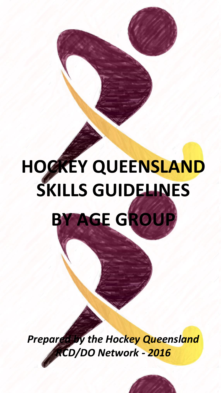# **HOCKEY QUEENSLAND SKILLS GUIDELINES BY AGE GROUP**

*Prepared by the Hockey Queensland RCD/DO Network - 2016*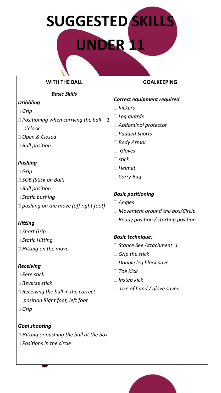# **SUGGESTED SKILLS**

# **UNDER 11**

#### **WITH THE BALL**

#### *Basic Skills*

## *Dribbling*

- *Grip*
- *Positioning when carrying the ball – 1 o'clock*
- *Open & Closed*
- *Ball position*

## *Pushing –*

- *Grip*
- *SOB (Stick on Ball)*
- *Ball position*
- *Static pushing*
- *pushing on the move (off right foot)*

#### *Hitting*

- *Short Grip*
- *Static Hitting*
- *Hitting on the move*

#### *Receiving*

- *Fore stick*
- *Reverse stick*
- *Receiving the ball in the correct position Right foot, left foot*
- *Grip*

*Goal shooting Hitting or pushing the ball at the box Positions in the circle*

## **GOALKEEPING**

#### *Correct equipment required*

- *Kickers*
- *Leg guards*
- *Abdominal protector*
- *Padded Shorts*
- *Body Armor*
- *Gloves*
- *stick*
- *Helmet*
- *Carry Bag*

### *Basic positioning*

- *Angles*
- *Movement around the box/Circle*
- *Ready position / starting position*

#### *Basic technique:*

- *Stance See Attachment 1*
- *Grip the stick*
- *Double leg block save*
- *Toe Kick*
- *Instep kick*
- *Use of hand / glove saves*

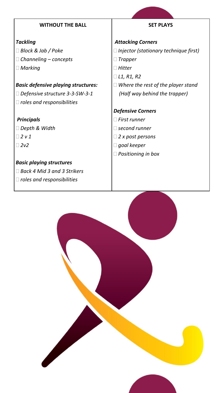#### **WITHOUT THE BALL**

#### *Tackling*

- *Block & Jab / Poke*
- *Channeling – concepts*
- *Marking*

#### *Basic defensive playing structures:*

- *Defensive structure 3-3-SW-3-1*
- *roles and responsibilities*

#### *Principals*

- *Depth & Width*
- *2 v 1*
- *2v2*

## *Basic playing structures*

- *Back 4 Mid 3 and 3 Strikers*
- *roles and responsibilities*

## **SET PLAYS**

#### *Attacking Corners*

- *Injector (stationary technique first)*
- *Trapper*
- *Hitter*
- *L1, R1, R2*
- *Where the rest of the player stand (Half way behind the trapper)*

#### *Defensive Corners*

- *First runner*
- *second runner*
- *2 x post persons*
- *goal keeper*
- *Positioning in box*

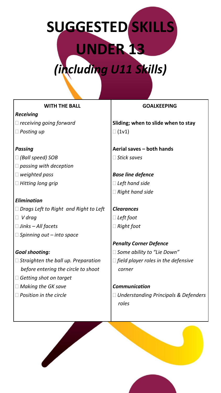# **SUGGESTED SKILLS UNDER 13**  *(including U11 Skills)*

#### **WITH THE BALL**

#### *Receiving*

 *receiving going forward Posting up*

#### *Passing*

- *(Ball speed) SOB*
- *passing with deception*
- *weighted pass*
- *Hitting long grip*

#### *Elimination Drags Left to Right and Right to Left*

- *V drag*
- *Jinks – All facets*
- *Spinning out – into space*

#### *Goal shooting:*

 *Straighten the ball up. Preparation before entering the circle to shoot*

**September 1999** 

- *Getting shot on target*
- *Making the GK save*
- *Position in the circle*

#### **GOALKEEPING**

**Sliding; when to slide when to stay**  $\Box$  (1v1)

**Aerial saves – both hands** *Stick saves*

*Base line defence Left hand side Right hand side*

## *Clearances Left foot Right foot*

# *Penalty Corner Defence Some ability to "Lie Down" field player roles in the defensive corner*

*Communication Understanding Principals & Defenders roles*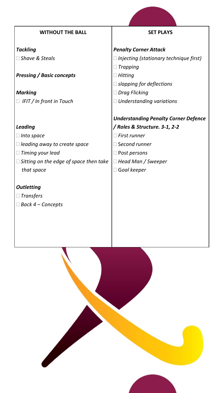| <b>WITHOUT THE BALL</b>                          | <b>SET PLAYS</b>                              |
|--------------------------------------------------|-----------------------------------------------|
| <b>Tackling</b>                                  | <b>Penalty Corner Attack</b>                  |
| $\square$ Shave & Steals                         | $\Box$ Injecting (stationary technique first) |
|                                                  | <b>Trapping</b>                               |
| <b>Pressing / Basic concepts</b>                 | Hitting                                       |
|                                                  | $\Box$ slapping for deflections               |
| <b>Marking</b>                                   | $\Box$ Drag Flicking                          |
| IFIT / In front in Touch                         | $\Box$ Understanding variations               |
|                                                  |                                               |
|                                                  | <b>Understanding Penalty Corner Defence</b>   |
| <b>Leading</b>                                   | / Roles & Structure. 3-1, 2-2                 |
| Into space                                       | $\Box$ First runner                           |
| leading away to create space                     | $\Box$ Second runner                          |
| Timing your lead                                 | $\Box$ Post persons                           |
| $\square$ Sitting on the edge of space then take | $\Box$ Head Man / Sweeper                     |
| that space                                       | $\Box$ Goal keeper                            |
|                                                  |                                               |
| <b>Outletting</b>                                |                                               |
| <b>Transfers</b>                                 |                                               |

*Back 4 – Concepts*

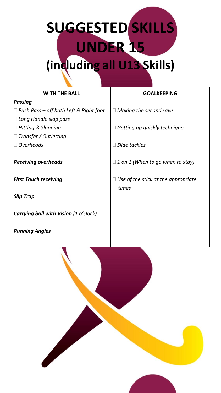# **SUGGESTED SKILLS UNDER 15 (including all U13 Skills)**

| <b>WITH THE BALL</b>                         | <b>GOALKEEPING</b>                      |
|----------------------------------------------|-----------------------------------------|
| <b>Passing</b>                               |                                         |
| Push Pass – off both Left & Right foot       | $\Box$ Making the second save           |
| Long Handle slap pass                        |                                         |
| <b>Hitting &amp; Slapping</b>                | Getting up quickly technique            |
| Transfer / Outletting                        |                                         |
| <b>Overheads</b>                             | Slide tackles                           |
|                                              |                                         |
| <b>Receiving overheads</b>                   | $\Box$ 1 on 1 (When to go when to stay) |
|                                              |                                         |
| <b>First Touch receiving</b>                 | Use of the stick at the appropriate     |
|                                              | times                                   |
| <b>Slip Trap</b>                             |                                         |
|                                              |                                         |
| <b>Carrying ball with Vision (1 o'clock)</b> |                                         |
|                                              |                                         |

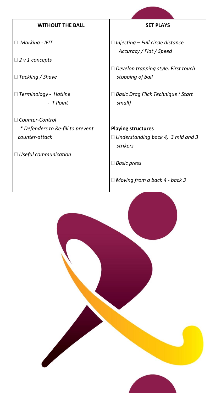| <b>WITHOUT THE BALL</b>           | <b>SET PLAYS</b>                                                   |
|-----------------------------------|--------------------------------------------------------------------|
| <b>Marking - IFIT</b>             | $\Box$ Injecting – Full circle distance<br>Accuracy / Flat / Speed |
| $\Box$ 2 v 1 concepts             |                                                                    |
| $\Box$ Tackling / Shave           | Develop trapping style. First touch<br>stopping of ball            |
|                                   |                                                                    |
| Terminology - Hotline             | <b>Basic Drag Flick Technique (Start</b>                           |
| - T Point                         | small)                                                             |
| Counter-Control                   |                                                                    |
| * Defenders to Re-fill to prevent | <b>Playing structures</b>                                          |
| counter-attack                    | $\Box$ Understanding back 4, 3 mid and 3<br>strikers               |
| $\Box$ Useful communication       |                                                                    |
|                                   | <b>Basic press</b>                                                 |
|                                   | $\Box$ Moving from a back 4 - back 3                               |

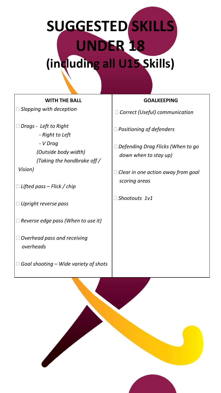# **SUGGESTED SKILLS UNDER 18 (including all U15 Skills)**

| <b>WITH THE BALL</b>                                                                                                                                               | <b>GOALKEEPING</b>                                                                                                                                                 |
|--------------------------------------------------------------------------------------------------------------------------------------------------------------------|--------------------------------------------------------------------------------------------------------------------------------------------------------------------|
| $\Box$ Slapping with deception                                                                                                                                     | $\Box$ Correct (Useful) communication                                                                                                                              |
| $\Box$ Drags - Left to Right<br>- Right to Left<br>- V Drag<br>(Outside body width)<br>(Taking the handbrake off /<br>Vision)<br>$\Box$ Lifted pass – Flick / chip | $\Box$ Positioning of defenders<br>$\Box$ Defending Drag Flicks (When to go<br>down when to stay up)<br>$\Box$ Clear in one action away from goal<br>scoring areas |
| $\Box$ Upright reverse pass                                                                                                                                        | □ Shootouts 1v1                                                                                                                                                    |
| $\Box$ Reverse edge pass (When to use it)                                                                                                                          |                                                                                                                                                                    |
| $\Box$ Overhead pass and receiving<br>overheads                                                                                                                    |                                                                                                                                                                    |
| $\Box$ Goal shooting – Wide variety of shots                                                                                                                       |                                                                                                                                                                    |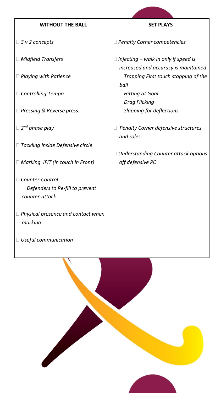#### **WITHOUT THE BALL**

- *3 v 2 concepts*
- *Midfield Transfers*
- *Playing with Patience*
- *Controlling Tempo*
- *Pressing & Reverse press.*
- *2 nd phase play*
- *Tackling inside Defensive circle*
- *Marking IFIT (In touch in Front)*
- *Counter-Control Defenders to Re-fill to prevent counter-attack*
- *Physical presence and contact when marking*
- *Useful communication*

#### **SET PLAYS**

*Penalty Corner competencies*

 *Injecting – walk in only if speed is increased and accuracy is maintained Trapping First touch stopping of the ball Hitting at Goal Drag Flicking Slapping for deflections*

 *Penalty Corner defensive structures and roles.*

 *Understanding Counter attack options off defensive PC*

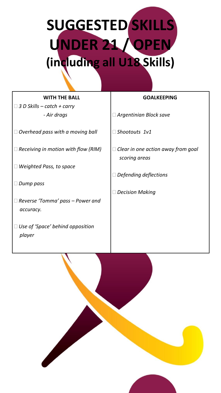**SUGGESTED SKILLS UNDER 21 / OPEN (including all U18 Skills)**

# **WITH THE BALL**

 *3 D Skills – catch + carry - Air drags*

*Overhead pass with a moving ball*

*Receiving in motion with flow (RIM)*

*Weighted Pass, to space*

*Dump pass*

 *Reverse 'Tomma' pass – Power and accuracy.*

 *Use of 'Space' behind opposition player*

#### **GOALKEEPING**

*Argentinian Block save*

*Shootouts 1v1*

- *Clear in one action away from goal scoring areas*
- *Defending deflections*
- *Decision Making*

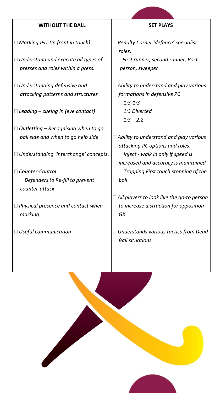#### **WITHOUT THE BALL**

- *Marking IFIT (In front in touch)*
- *Understand and execute all types of presses and roles within a press.*
- *Understanding defensive and attacking patterns and structures*
- *Leading – cueing in (eye contact)*
- *Outletting – Recognising when to go ball side and when to go help side*
- *Understanding 'Interchange' concepts*.
- *Counter-Control Defenders to Re-fill to prevent counter-attack*
- *Physical presence and contact when marking*
- *Useful communication*

#### **SET PLAYS**

- *Penalty Corner 'defence' specialist roles.*
	- *First runner, second runner, Post person, sweeper*
- *Ability to understand and play various formations in defensive PC 1:3-1:3*
	- *1:3 Diverted 1:3 – 2:2*
- *Ability to understand and play various attacking PC options and roles. Inject - walk in only if speed is increased and accuracy is maintained Trapping First touch stopping of the ball*
- *All players to look like the go-to person to increase distraction for opposition GK*
- *Understands various tactics from Dead Ball situations*